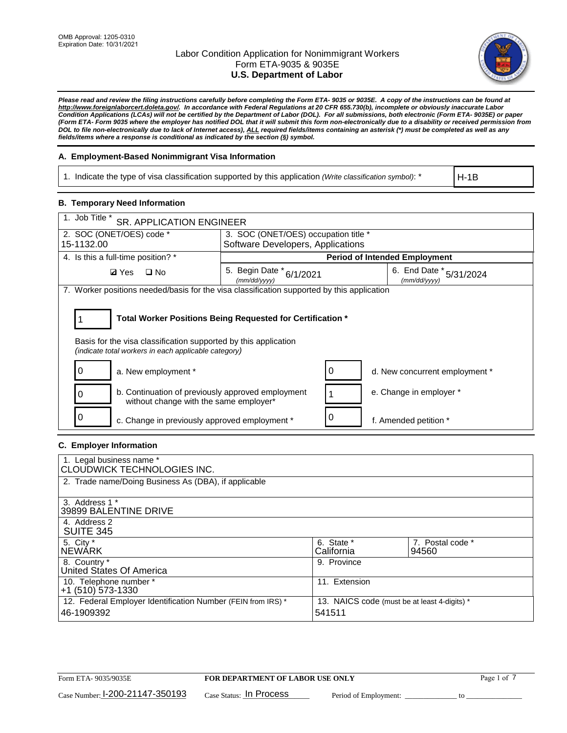

*Please read and review the filing instructions carefully before completing the Form ETA- 9035 or 9035E. A copy of the instructions can be found at [http://www.foreignlaborcert.doleta.gov/.](http://www.foreignlaborcert.doleta.gov/) In accordance with Federal Regulations at 20 CFR 655.730(b), incomplete or obviously inaccurate Labor Condition Applications (LCAs) will not be certified by the Department of Labor (DOL). For all submissions, both electronic (Form ETA- 9035E) or paper (Form ETA- Form 9035 where the employer has notified DOL that it will submit this form non-electronically due to a disability or received permission from DOL to file non-electronically due to lack of Internet access), ALL required fields/items containing an asterisk (\*) must be completed as well as any fields/items where a response is conditional as indicated by the section (§) symbol.* 

## **A. Employment-Based Nonimmigrant Visa Information**

1. Indicate the type of visa classification supported by this application *(Write classification symbol)*: \*

H-1B

## **B. Temporary Need Information**

| 1. Job Title *<br><b>SR. APPLICATION ENGINEER</b>                                                                                                                                     |                                          |   |                                         |  |
|---------------------------------------------------------------------------------------------------------------------------------------------------------------------------------------|------------------------------------------|---|-----------------------------------------|--|
| 2. SOC (ONET/OES) code *                                                                                                                                                              | 3. SOC (ONET/OES) occupation title *     |   |                                         |  |
| 15-1132.00                                                                                                                                                                            | Software Developers, Applications        |   |                                         |  |
| 4. Is this a full-time position? *                                                                                                                                                    |                                          |   | <b>Period of Intended Employment</b>    |  |
| $\Box$ No<br><b>Ø</b> Yes                                                                                                                                                             | 5. Begin Date * 6/1/2021<br>(mm/dd/yyyy) |   | 6. End Date * 5/31/2024<br>(mm/dd/vvvv) |  |
| 7. Worker positions needed/basis for the visa classification supported by this application                                                                                            |                                          |   |                                         |  |
| Total Worker Positions Being Requested for Certification *<br>Basis for the visa classification supported by this application<br>(indicate total workers in each applicable category) |                                          |   |                                         |  |
| a. New employment *                                                                                                                                                                   |                                          | 0 | d. New concurrent employment *          |  |
| b. Continuation of previously approved employment<br>without change with the same employer*                                                                                           |                                          |   | e. Change in employer *                 |  |
| c. Change in previously approved employment *                                                                                                                                         |                                          |   | f. Amended petition *                   |  |

## **C. Employer Information**

| 1. Legal business name *<br>CLOUDWICK TECHNOLOGIES INC.                    |                                                        |                           |
|----------------------------------------------------------------------------|--------------------------------------------------------|---------------------------|
| 2. Trade name/Doing Business As (DBA), if applicable                       |                                                        |                           |
| 3. Address 1 *<br>39899 BALENTINE DRIVE                                    |                                                        |                           |
| 4. Address 2<br><b>SUITE 345</b>                                           |                                                        |                           |
| 5. City *<br><b>NEWARK</b>                                                 | 6. State *<br>California                               | 7. Postal code *<br>94560 |
| 8. Country *<br>United States Of America                                   | 9. Province                                            |                           |
| 10. Telephone number *<br>$+1$ (510) 573-1330                              | 11. Extension                                          |                           |
| 12. Federal Employer Identification Number (FEIN from IRS) *<br>46-1909392 | 13. NAICS code (must be at least 4-digits) *<br>541511 |                           |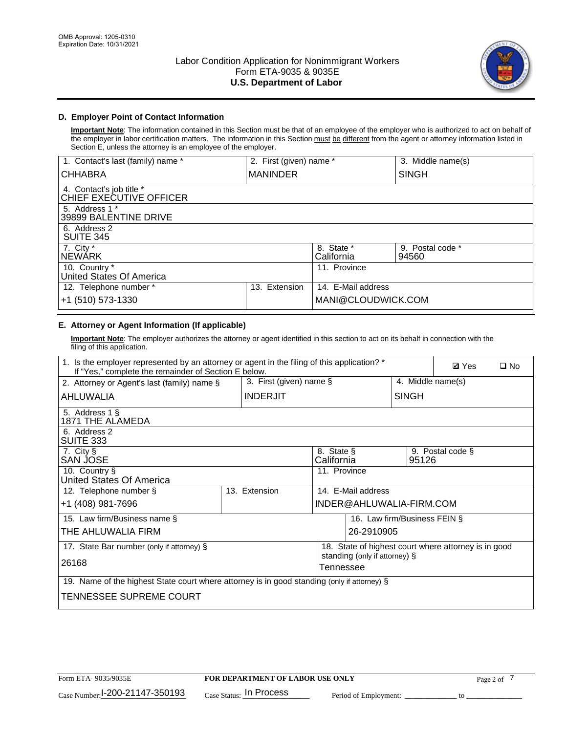

# **D. Employer Point of Contact Information**

**Important Note**: The information contained in this Section must be that of an employee of the employer who is authorized to act on behalf of the employer in labor certification matters. The information in this Section must be different from the agent or attorney information listed in Section E, unless the attorney is an employee of the employer.

| 1. Contact's last (family) name *                   | 2. First (given) name * |                          | 3. Middle name(s)         |
|-----------------------------------------------------|-------------------------|--------------------------|---------------------------|
| <b>CHHABRA</b>                                      | <b>MANINDER</b>         |                          | <b>SINGH</b>              |
| 4. Contact's job title *<br>CHIEF EXECUTIVE OFFICER |                         |                          |                           |
| 5. Address 1 *<br>39899 BALENTINE DRIVE             |                         |                          |                           |
| 6. Address 2<br><b>SUITE 345</b>                    |                         |                          |                           |
| 7. City *<br><b>NEWÁRK</b>                          |                         | 8. State *<br>California | 9. Postal code *<br>94560 |
| 10. Country *<br>United States Of America           |                         | 11. Province             |                           |
| 12. Telephone number *                              | Extension<br>13.        | 14. E-Mail address       |                           |
| +1 (510) 573-1330                                   |                         | MANI@CLOUDWICK.COM       |                           |

# **E. Attorney or Agent Information (If applicable)**

**Important Note**: The employer authorizes the attorney or agent identified in this section to act on its behalf in connection with the filing of this application.

| 1. Is the employer represented by an attorney or agent in the filing of this application? *<br>If "Yes," complete the remainder of Section E below. |                         | <b>Ø</b> Yes<br>$\Box$ No |                               |                                                      |
|-----------------------------------------------------------------------------------------------------------------------------------------------------|-------------------------|---------------------------|-------------------------------|------------------------------------------------------|
| 2. Attorney or Agent's last (family) name §                                                                                                         | 3. First (given) name § |                           |                               | 4. Middle name(s)                                    |
| AHLUWALIA                                                                                                                                           | <b>INDERJIT</b>         |                           | <b>SINGH</b>                  |                                                      |
| 5. Address 1 §<br>1871 THE ALAMEDA                                                                                                                  |                         |                           |                               |                                                      |
| 6. Address 2<br><b>SUITE 333</b>                                                                                                                    |                         |                           |                               |                                                      |
| 7. City §<br>SAN JOSE                                                                                                                               |                         | 8. State §<br>California  | 95126                         | 9. Postal code §                                     |
| 10. Country §<br>United States Of America                                                                                                           |                         | 11. Province              |                               |                                                      |
| 12. Telephone number §                                                                                                                              | 13. Extension           | 14. E-Mail address        |                               |                                                      |
| +1 (408) 981-7696                                                                                                                                   |                         | INDER@AHLUWALIA-FIRM.COM  |                               |                                                      |
| 15. Law firm/Business name §                                                                                                                        |                         |                           | 16. Law firm/Business FEIN §  |                                                      |
| THE AHLUWALIA FIRM                                                                                                                                  |                         |                           | 26-2910905                    |                                                      |
| 17. State Bar number (only if attorney) §                                                                                                           |                         |                           |                               | 18. State of highest court where attorney is in good |
| 26168                                                                                                                                               |                         | Tennessee                 | standing (only if attorney) § |                                                      |
| 19. Name of the highest State court where attorney is in good standing (only if attorney) §                                                         |                         |                           |                               |                                                      |
| TENNESSEE SUPREME COURT                                                                                                                             |                         |                           |                               |                                                      |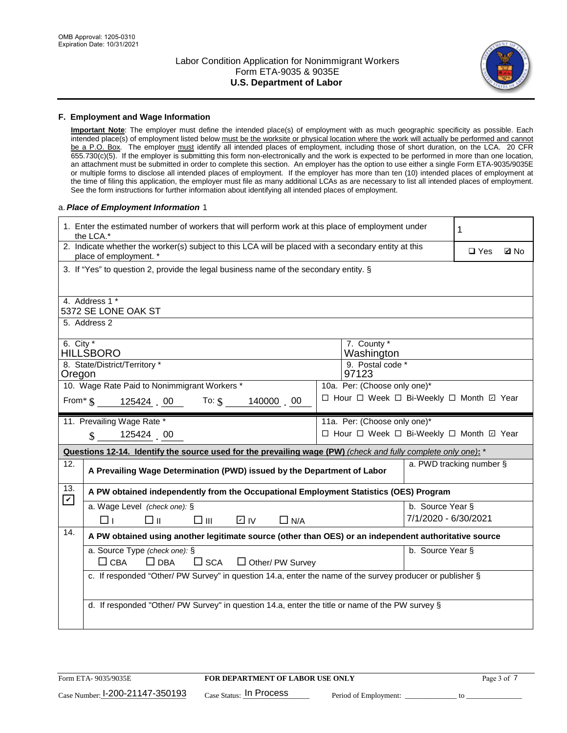

### **F. Employment and Wage Information**

**Important Note**: The employer must define the intended place(s) of employment with as much geographic specificity as possible. Each intended place(s) of employment listed below must be the worksite or physical location where the work will actually be performed and cannot be a P.O. Box. The employer must identify all intended places of employment, including those of short duration, on the LCA. 20 CFR 655.730(c)(5). If the employer is submitting this form non-electronically and the work is expected to be performed in more than one location, an attachment must be submitted in order to complete this section. An employer has the option to use either a single Form ETA-9035/9035E or multiple forms to disclose all intended places of employment. If the employer has more than ten (10) intended places of employment at the time of filing this application, the employer must file as many additional LCAs as are necessary to list all intended places of employment. See the form instructions for further information about identifying all intended places of employment.

### a.*Place of Employment Information* 1

|                                                                                                      | 1. Enter the estimated number of workers that will perform work at this place of employment under<br>1<br>the LCA.*                          |  |                                          |                      |  |             |
|------------------------------------------------------------------------------------------------------|----------------------------------------------------------------------------------------------------------------------------------------------|--|------------------------------------------|----------------------|--|-------------|
|                                                                                                      | 2. Indicate whether the worker(s) subject to this LCA will be placed with a secondary entity at this<br>$\Box$ Yes<br>place of employment. * |  |                                          |                      |  | <b>Z</b> No |
|                                                                                                      | 3. If "Yes" to question 2, provide the legal business name of the secondary entity. §                                                        |  |                                          |                      |  |             |
|                                                                                                      | 4. Address 1 *                                                                                                                               |  |                                          |                      |  |             |
|                                                                                                      | 5372 SE LONE OAK ST                                                                                                                          |  |                                          |                      |  |             |
|                                                                                                      | 5. Address 2                                                                                                                                 |  |                                          |                      |  |             |
|                                                                                                      | 6. City $*$<br>7. County *<br><b>HILLSBORO</b><br>Washington                                                                                 |  |                                          |                      |  |             |
| 8. State/District/Territory *                                                                        |                                                                                                                                              |  | 9. Postal code *                         |                      |  |             |
| Oregon                                                                                               |                                                                                                                                              |  | 97123                                    |                      |  |             |
|                                                                                                      | 10. Wage Rate Paid to Nonimmigrant Workers *                                                                                                 |  | 10a. Per: (Choose only one)*             |                      |  |             |
| □ Hour □ Week □ Bi-Weekly □ Month ☑ Year<br>From $\frac{1}{3}$ 125424 00 To: $\frac{1}{3}$ 140000 00 |                                                                                                                                              |  |                                          |                      |  |             |
|                                                                                                      | 11. Prevailing Wage Rate *                                                                                                                   |  | 11a. Per: (Choose only one)*             |                      |  |             |
|                                                                                                      | 125424 00<br>$\mathbf{\$}$                                                                                                                   |  | □ Hour □ Week □ Bi-Weekly □ Month ☑ Year |                      |  |             |
|                                                                                                      | Questions 12-14. Identify the source used for the prevailing wage (PW) (check and fully complete only one): *                                |  |                                          |                      |  |             |
| 12.                                                                                                  | a. PWD tracking number §<br>A Prevailing Wage Determination (PWD) issued by the Department of Labor                                          |  |                                          |                      |  |             |
| 13.<br>$\mathbf v$                                                                                   | A PW obtained independently from the Occupational Employment Statistics (OES) Program                                                        |  |                                          |                      |  |             |
|                                                                                                      | a. Wage Level (check one): §                                                                                                                 |  |                                          | b. Source Year §     |  |             |
|                                                                                                      | D IV<br>□⊪<br>$\square$ $\square$<br>$\Box$ N/A<br>□⊥                                                                                        |  |                                          | 7/1/2020 - 6/30/2021 |  |             |
| 14.                                                                                                  | A PW obtained using another legitimate source (other than OES) or an independent authoritative source                                        |  |                                          |                      |  |             |
|                                                                                                      | a. Source Type (check one): §                                                                                                                |  |                                          | b. Source Year §     |  |             |
|                                                                                                      | $\Box$ CBA<br>$\Box$ DBA<br>$\square$ SCA<br>$\Box$ Other/ PW Survey                                                                         |  |                                          |                      |  |             |
|                                                                                                      | c. If responded "Other/ PW Survey" in question 14.a, enter the name of the survey producer or publisher §                                    |  |                                          |                      |  |             |
|                                                                                                      |                                                                                                                                              |  |                                          |                      |  |             |
|                                                                                                      | d. If responded "Other/ PW Survey" in question 14.a, enter the title or name of the PW survey §                                              |  |                                          |                      |  |             |
|                                                                                                      |                                                                                                                                              |  |                                          |                      |  |             |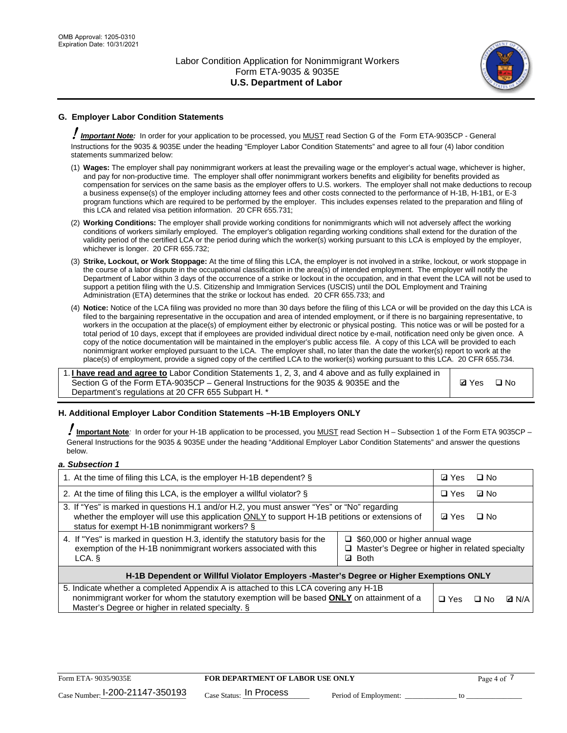

# **G. Employer Labor Condition Statements**

! *Important Note:* In order for your application to be processed, you MUST read Section G of the Form ETA-9035CP - General Instructions for the 9035 & 9035E under the heading "Employer Labor Condition Statements" and agree to all four (4) labor condition statements summarized below:

- (1) **Wages:** The employer shall pay nonimmigrant workers at least the prevailing wage or the employer's actual wage, whichever is higher, and pay for non-productive time. The employer shall offer nonimmigrant workers benefits and eligibility for benefits provided as compensation for services on the same basis as the employer offers to U.S. workers. The employer shall not make deductions to recoup a business expense(s) of the employer including attorney fees and other costs connected to the performance of H-1B, H-1B1, or E-3 program functions which are required to be performed by the employer. This includes expenses related to the preparation and filing of this LCA and related visa petition information. 20 CFR 655.731;
- (2) **Working Conditions:** The employer shall provide working conditions for nonimmigrants which will not adversely affect the working conditions of workers similarly employed. The employer's obligation regarding working conditions shall extend for the duration of the validity period of the certified LCA or the period during which the worker(s) working pursuant to this LCA is employed by the employer, whichever is longer. 20 CFR 655.732;
- (3) **Strike, Lockout, or Work Stoppage:** At the time of filing this LCA, the employer is not involved in a strike, lockout, or work stoppage in the course of a labor dispute in the occupational classification in the area(s) of intended employment. The employer will notify the Department of Labor within 3 days of the occurrence of a strike or lockout in the occupation, and in that event the LCA will not be used to support a petition filing with the U.S. Citizenship and Immigration Services (USCIS) until the DOL Employment and Training Administration (ETA) determines that the strike or lockout has ended. 20 CFR 655.733; and
- (4) **Notice:** Notice of the LCA filing was provided no more than 30 days before the filing of this LCA or will be provided on the day this LCA is filed to the bargaining representative in the occupation and area of intended employment, or if there is no bargaining representative, to workers in the occupation at the place(s) of employment either by electronic or physical posting. This notice was or will be posted for a total period of 10 days, except that if employees are provided individual direct notice by e-mail, notification need only be given once. A copy of the notice documentation will be maintained in the employer's public access file. A copy of this LCA will be provided to each nonimmigrant worker employed pursuant to the LCA. The employer shall, no later than the date the worker(s) report to work at the place(s) of employment, provide a signed copy of the certified LCA to the worker(s) working pursuant to this LCA. 20 CFR 655.734.

1. **I have read and agree to** Labor Condition Statements 1, 2, 3, and 4 above and as fully explained in Section G of the Form ETA-9035CP – General Instructions for the 9035 & 9035E and the Department's regulations at 20 CFR 655 Subpart H. \*

**Ø**Yes ロNo

## **H. Additional Employer Labor Condition Statements –H-1B Employers ONLY**

!**Important Note***:* In order for your H-1B application to be processed, you MUST read Section H – Subsection 1 of the Form ETA 9035CP – General Instructions for the 9035 & 9035E under the heading "Additional Employer Labor Condition Statements" and answer the questions below.

#### *a. Subsection 1*

| 1. At the time of filing this LCA, is the employer H-1B dependent? §                                                                                                                                                                                                      |  |  | $\square$ No |  |
|---------------------------------------------------------------------------------------------------------------------------------------------------------------------------------------------------------------------------------------------------------------------------|--|--|--------------|--|
| 2. At the time of filing this LCA, is the employer a willful violator? $\S$                                                                                                                                                                                               |  |  | ⊡ No         |  |
| 3. If "Yes" is marked in questions H.1 and/or H.2, you must answer "Yes" or "No" regarding<br>whether the employer will use this application ONLY to support H-1B petitions or extensions of<br>status for exempt H-1B nonimmigrant workers? §                            |  |  | $\Box$ No    |  |
| 4. If "Yes" is marked in question H.3, identify the statutory basis for the<br>$\Box$ \$60,000 or higher annual wage<br>exemption of the H-1B nonimmigrant workers associated with this<br>□ Master's Degree or higher in related specialty<br><b>Both</b><br>LCA. §<br>☑ |  |  |              |  |
| H-1B Dependent or Willful Violator Employers -Master's Degree or Higher Exemptions ONLY                                                                                                                                                                                   |  |  |              |  |
| 5. Indicate whether a completed Appendix A is attached to this LCA covering any H-1B<br>nonimmigrant worker for whom the statutory exemption will be based <b>ONLY</b> on attainment of a<br>$\Box$ Yes<br>⊟ No<br>Master's Degree or higher in related specialty. §      |  |  | <b>Q</b> N/A |  |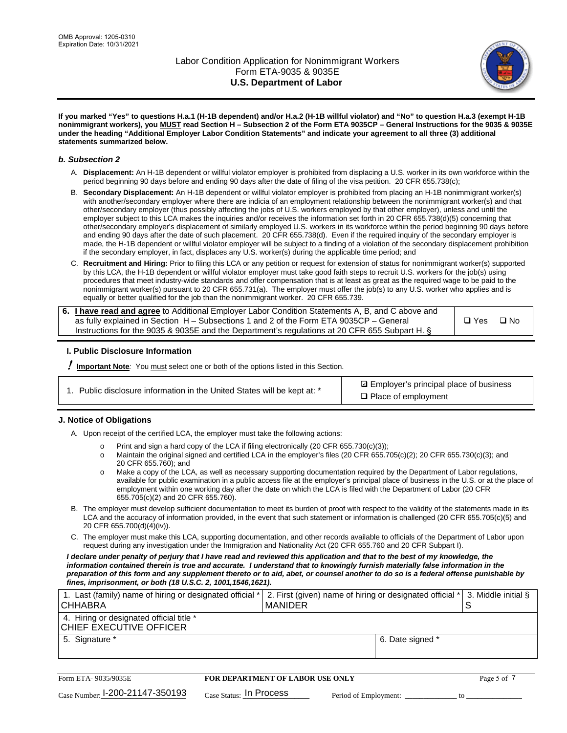

**If you marked "Yes" to questions H.a.1 (H-1B dependent) and/or H.a.2 (H-1B willful violator) and "No" to question H.a.3 (exempt H-1B nonimmigrant workers), you MUST read Section H – Subsection 2 of the Form ETA 9035CP – General Instructions for the 9035 & 9035E under the heading "Additional Employer Labor Condition Statements" and indicate your agreement to all three (3) additional statements summarized below.**

### *b. Subsection 2*

- A. **Displacement:** An H-1B dependent or willful violator employer is prohibited from displacing a U.S. worker in its own workforce within the period beginning 90 days before and ending 90 days after the date of filing of the visa petition. 20 CFR 655.738(c);
- B. **Secondary Displacement:** An H-1B dependent or willful violator employer is prohibited from placing an H-1B nonimmigrant worker(s) with another/secondary employer where there are indicia of an employment relationship between the nonimmigrant worker(s) and that other/secondary employer (thus possibly affecting the jobs of U.S. workers employed by that other employer), unless and until the employer subject to this LCA makes the inquiries and/or receives the information set forth in 20 CFR 655.738(d)(5) concerning that other/secondary employer's displacement of similarly employed U.S. workers in its workforce within the period beginning 90 days before and ending 90 days after the date of such placement. 20 CFR 655.738(d). Even if the required inquiry of the secondary employer is made, the H-1B dependent or willful violator employer will be subject to a finding of a violation of the secondary displacement prohibition if the secondary employer, in fact, displaces any U.S. worker(s) during the applicable time period; and
- C. **Recruitment and Hiring:** Prior to filing this LCA or any petition or request for extension of status for nonimmigrant worker(s) supported by this LCA, the H-1B dependent or willful violator employer must take good faith steps to recruit U.S. workers for the job(s) using procedures that meet industry-wide standards and offer compensation that is at least as great as the required wage to be paid to the nonimmigrant worker(s) pursuant to 20 CFR 655.731(a). The employer must offer the job(s) to any U.S. worker who applies and is equally or better qualified for the job than the nonimmigrant worker. 20 CFR 655.739.

| 6. I have read and agree to Additional Employer Labor Condition Statements A, B, and C above and |       |           |
|--------------------------------------------------------------------------------------------------|-------|-----------|
| as fully explained in Section H – Subsections 1 and 2 of the Form ETA 9035CP – General           | □ Yes | $\Box$ No |
| Instructions for the 9035 & 9035E and the Department's regulations at 20 CFR 655 Subpart H. §    |       |           |

## **I. Public Disclosure Information**

! **Important Note***:* You must select one or both of the options listed in this Section.

| 1. Public disclosure information in the United States will be kept at: * |  |  |  |  |  |  |
|--------------------------------------------------------------------------|--|--|--|--|--|--|
|--------------------------------------------------------------------------|--|--|--|--|--|--|

**sqrt** Employer's principal place of business □ Place of employment

## **J. Notice of Obligations**

A. Upon receipt of the certified LCA, the employer must take the following actions:

- o Print and sign a hard copy of the LCA if filing electronically (20 CFR 655.730(c)(3));<br>
Maintain the original signed and certified LCA in the employer's files (20 CFR 655.7
- Maintain the original signed and certified LCA in the employer's files (20 CFR 655.705(c)(2); 20 CFR 655.730(c)(3); and 20 CFR 655.760); and
- o Make a copy of the LCA, as well as necessary supporting documentation required by the Department of Labor regulations, available for public examination in a public access file at the employer's principal place of business in the U.S. or at the place of employment within one working day after the date on which the LCA is filed with the Department of Labor (20 CFR 655.705(c)(2) and 20 CFR 655.760).
- B. The employer must develop sufficient documentation to meet its burden of proof with respect to the validity of the statements made in its LCA and the accuracy of information provided, in the event that such statement or information is challenged (20 CFR 655.705(c)(5) and 20 CFR 655.700(d)(4)(iv)).
- C. The employer must make this LCA, supporting documentation, and other records available to officials of the Department of Labor upon request during any investigation under the Immigration and Nationality Act (20 CFR 655.760 and 20 CFR Subpart I).

*I declare under penalty of perjury that I have read and reviewed this application and that to the best of my knowledge, the*  information contained therein is true and accurate. I understand that to knowingly furnish materially false information in the *preparation of this form and any supplement thereto or to aid, abet, or counsel another to do so is a federal offense punishable by fines, imprisonment, or both (18 U.S.C. 2, 1001,1546,1621).*

| 1. Last (family) name of hiring or designated official *<br><b>CHHABRA</b> |                                         | MANIDER |                       | 2. First (given) name of hiring or designated official * |    | 3. Middle initial § |
|----------------------------------------------------------------------------|-----------------------------------------|---------|-----------------------|----------------------------------------------------------|----|---------------------|
| 4. Hiring or designated official title *<br>CHIEF EXECUTIVE OFFICER        |                                         |         |                       |                                                          |    |                     |
| 5. Signature *                                                             |                                         |         |                       | 6. Date signed *                                         |    |                     |
|                                                                            |                                         |         |                       |                                                          |    |                     |
| Form ETA-9035/9035E                                                        | <b>FOR DEPARTMENT OF LABOR USE ONLY</b> |         |                       |                                                          |    | Page 5 of 7         |
| $_{\text{Case Number:}}$ 1-200-21147-350193                                | Case Status: In Process                 |         | Period of Employment: |                                                          | tΩ |                     |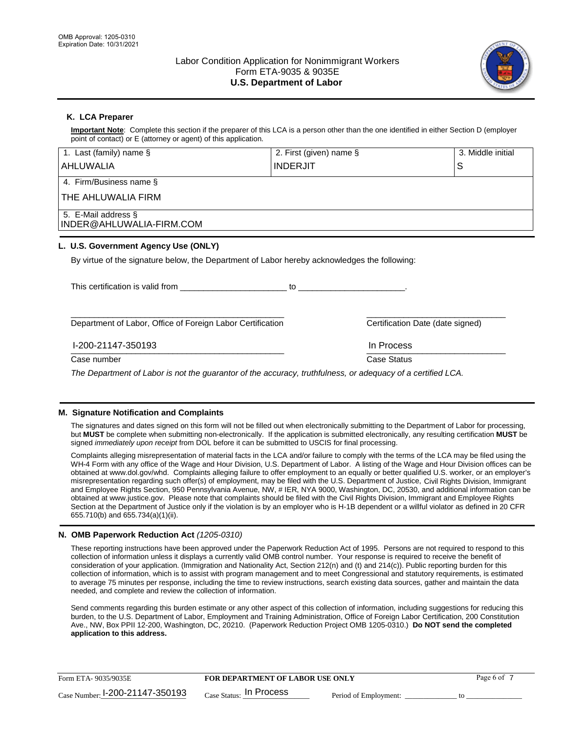

## **K. LCA Preparer**

**Important Note**: Complete this section if the preparer of this LCA is a person other than the one identified in either Section D (employer point of contact) or E (attorney or agent) of this application.

| 1. Last (family) name $\S$                                                                                 | 2. First (given) name § |                                  | 3. Middle initial |
|------------------------------------------------------------------------------------------------------------|-------------------------|----------------------------------|-------------------|
| AHLUWALIA                                                                                                  | <b>INDERJIT</b>         |                                  | S                 |
| 4. Firm/Business name §                                                                                    |                         |                                  |                   |
| THE AHLUWALIA FIRM                                                                                         |                         |                                  |                   |
| 5. E-Mail address §<br>INDER@AHLUWALIA-FIRM.COM                                                            |                         |                                  |                   |
| L. U.S. Government Agency Use (ONLY)                                                                       |                         |                                  |                   |
| By virtue of the signature below, the Department of Labor hereby acknowledges the following:               |                         |                                  |                   |
| This certification is valid from                                                                           | to                      |                                  |                   |
| Department of Labor, Office of Foreign Labor Certification                                                 |                         | Certification Date (date signed) |                   |
| I-200-21147-350193                                                                                         |                         | In Process                       |                   |
| Case number                                                                                                |                         | Case Status                      |                   |
| The Department of Labor is not the quaranter of the accuracy, truthfulness, or adocupay of a cortified LCA |                         |                                  |                   |

*The Department of Labor is not the guarantor of the accuracy, truthfulness, or adequacy of a certified LCA.*

## **M. Signature Notification and Complaints**

The signatures and dates signed on this form will not be filled out when electronically submitting to the Department of Labor for processing, but **MUST** be complete when submitting non-electronically. If the application is submitted electronically, any resulting certification **MUST** be signed *immediately upon receipt* from DOL before it can be submitted to USCIS for final processing.

Complaints alleging misrepresentation of material facts in the LCA and/or failure to comply with the terms of the LCA may be filed using the WH-4 Form with any office of the Wage and Hour Division, U.S. Department of Labor. A listing of the Wage and Hour Division offices can be obtained at www.dol.gov/whd. Complaints alleging failure to offer employment to an equally or better qualified U.S. worker, or an employer's misrepresentation regarding such offer(s) of employment, may be filed with the U.S. Department of Justice, Civil Rights Division, Immigrant and Employee Rights Section, 950 Pennsylvania Avenue, NW, # IER, NYA 9000, Washington, DC, 20530, and additional information can be obtained at www.justice.gov. Please note that complaints should be filed with the Civil Rights Division, Immigrant and Employee Rights Section at the Department of Justice only if the violation is by an employer who is H-1B dependent or a willful violator as defined in 20 CFR 655.710(b) and 655.734(a)(1)(ii).

## **N. OMB Paperwork Reduction Act** *(1205-0310)*

These reporting instructions have been approved under the Paperwork Reduction Act of 1995. Persons are not required to respond to this collection of information unless it displays a currently valid OMB control number. Your response is required to receive the benefit of consideration of your application. (Immigration and Nationality Act, Section 212(n) and (t) and 214(c)). Public reporting burden for this collection of information, which is to assist with program management and to meet Congressional and statutory requirements, is estimated to average 75 minutes per response, including the time to review instructions, search existing data sources, gather and maintain the data needed, and complete and review the collection of information.

Send comments regarding this burden estimate or any other aspect of this collection of information, including suggestions for reducing this burden, to the U.S. Department of Labor, Employment and Training Administration, Office of Foreign Labor Certification, 200 Constitution Ave., NW, Box PPII 12-200, Washington, DC, 20210. (Paperwork Reduction Project OMB 1205-0310.) **Do NOT send the completed application to this address.**

| Form ETA-9035/9035E               | <b>FOR DEPARTMENT OF LABOR USE ONLY</b> |                       | Page 6 of |
|-----------------------------------|-----------------------------------------|-----------------------|-----------|
| Case Number: $1-200-21147-350193$ | $_{\rm Case~S status:}$ In Process      | Period of Employment: |           |